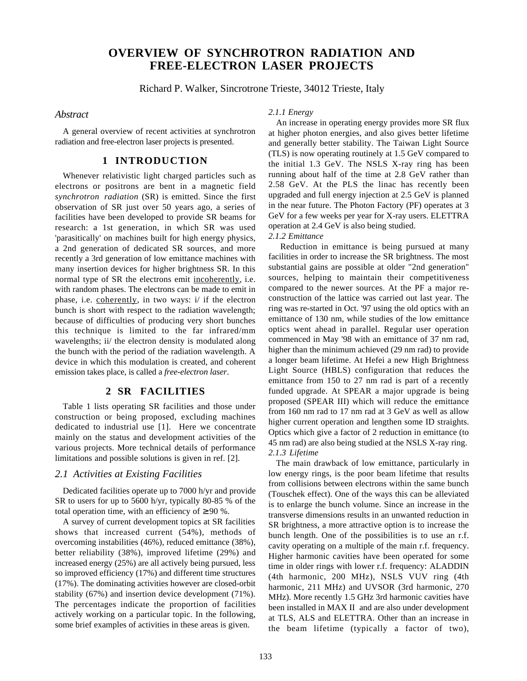# **OVERVIEW OF SYNCHROTRON RADIATION AND FREE-ELECTRON LASER PROJECTS**

Richard P. Walker, Sincrotrone Trieste, 34012 Trieste, Italy

*Abstract*

A general overview of recent activities at synchrotron radiation and free-electron laser projects is presented.

# **1 INTRODUCTION**

Whenever relativistic light charged particles such as electrons or positrons are bent in a magnetic field *synchrotron radiation* (SR) is emitted. Since the first observation of SR just over 50 years ago, a series of facilities have been developed to provide SR beams for research: a 1st generation, in which SR was used 'parasitically' on machines built for high energy physics, a 2nd generation of dedicated SR sources, and more recently a 3rd generation of low emittance machines with many insertion devices for higher brightness SR. In this normal type of SR the electrons emit incoherently, i.e. with random phases. The electrons can be made to emit in phase, i.e. coherently, in two ways: i/ if the electron bunch is short with respect to the radiation wavelength; because of difficulties of producing very short bunches this technique is limited to the far infrared/mm wavelengths; ii/ the electron density is modulated along the bunch with the period of the radiation wavelength. A device in which this modulation is created, and coherent emission takes place, is called a *free-electron laser*.

## **2 SR FACILITIES**

Table 1 lists operating SR facilities and those under construction or being proposed, excluding machines dedicated to industrial use [1]. Here we concentrate mainly on the status and development activities of the various projects. More technical details of performance limitations and possible solutions is given in ref. [2].

### *2.1 Activities at Existing Facilities*

Dedicated facilities operate up to 7000 h/yr and provide SR to users for up to 5600 h/yr, typically 80-85 % of the total operation time, with an efficiency of  $\geq 90$  %.

A survey of current development topics at SR facilities shows that increased current (54%), methods of overcoming instabilities (46%), reduced emittance (38%), better reliability (38%), improved lifetime (29%) and increased energy (25%) are all actively being pursued, less so improved efficiency (17%) and different time structures (17%). The dominating activities however are closed-orbit stability (67%) and insertion device development (71%). The percentages indicate the proportion of facilities actively working on a particular topic. In the following, some brief examples of activities in these areas is given.

#### *2.1.1 Energy*

An increase in operating energy provides more SR flux at higher photon energies, and also gives better lifetime and generally better stability. The Taiwan Light Source (TLS) is now operating routinely at 1.5 GeV compared to the initial 1.3 GeV. The NSLS X-ray ring has been running about half of the time at 2.8 GeV rather than 2.58 GeV. At the PLS the linac has recently been upgraded and full energy injection at 2.5 GeV is planned in the near future. The Photon Factory (PF) operates at 3 GeV for a few weeks per year for X-ray users. ELETTRA operation at 2.4 GeV is also being studied.

## *2.1.2 Emittance*

 Reduction in emittance is being pursued at many facilities in order to increase the SR brightness. The most substantial gains are possible at older "2nd generation" sources, helping to maintain their competitiveness compared to the newer sources. At the PF a major reconstruction of the lattice was carried out last year. The ring was re-started in Oct. '97 using the old optics with an emittance of 130 nm, while studies of the low emittance optics went ahead in parallel. Regular user operation commenced in May '98 with an emittance of 37 nm rad, higher than the minimum achieved (29 nm rad) to provide a longer beam lifetime. At Hefei a new High Brightness Light Source (HBLS) configuration that reduces the emittance from 150 to 27 nm rad is part of a recently funded upgrade. At SPEAR a major upgrade is being proposed (SPEAR III) which will reduce the emittance from 160 nm rad to 17 nm rad at 3 GeV as well as allow higher current operation and lengthen some ID straights. Optics which give a factor of 2 reduction in emittance (to 45 nm rad) are also being studied at the NSLS X-ray ring. *2.1.3 Lifetime*

The main drawback of low emittance, particularly in low energy rings, is the poor beam lifetime that results from collisions between electrons within the same bunch (Touschek effect). One of the ways this can be alleviated is to enlarge the bunch volume. Since an increase in the transverse dimensions results in an unwanted reduction in SR brightness, a more attractive option is to increase the bunch length. One of the possibilities is to use an r.f. cavity operating on a multiple of the main r.f. frequency. Higher harmonic cavities have been operated for some time in older rings with lower r.f. frequency: ALADDIN (4th harmonic, 200 MHz), NSLS VUV ring (4th harmonic, 211 MHz) and UVSOR (3rd harmonic, 270 MHz). More recently 1.5 GHz 3rd harmonic cavities have been installed in MAX II and are also under development at TLS, ALS and ELETTRA. Other than an increase in the beam lifetime (typically a factor of two),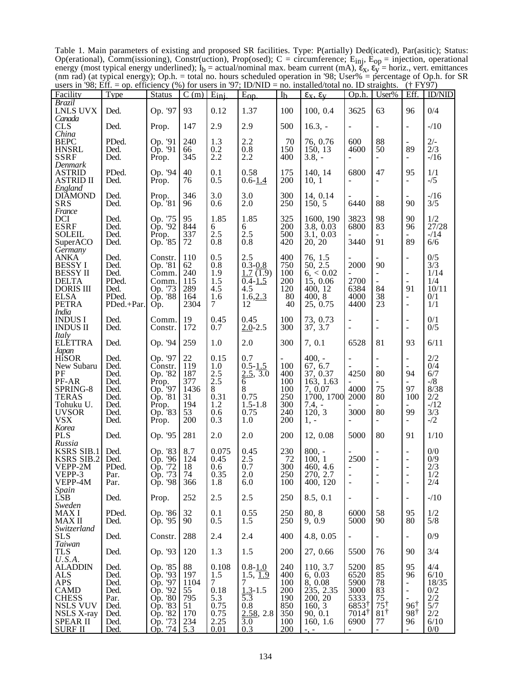Table 1. Main parameters of existing and proposed SR facilities. Type: P(artially) Ded(icated), Par(asitic); Status: Op(erational), Comm(issioning), Constr(uction), Prop(osed); C = circumference;  $E_{inj}$ ,  $E_{op}$  = injection, operational energy (most typical energy underlined);  $I_b = \text{actual/nominal max. beam current (mA), } \varepsilon_x, \varepsilon_y = \text{horiz.}, \text{vert. emittances}$ (nm rad) (at typical energy); Op.h. = total no. hours scheduled operation in '98; User% = percentage of Op.h. for SR users in '98; Eff. = op. efficiency (%) for users in '97; ID/NID = no. installed/total no. ID straights. († FY97)

| $10010$ in $20,$ Lines<br>Facility                                                                                                                        | Type                                                                 | <b>Status</b>                                                                                   | $\overline{C}$ (m)                                        | $E_{\text{ini}}$                                                 | $-$ op. cheency $(70)$ for asers in $27$ , i.e., $10$<br>$E_{\text{op}}$                                  | I <sub>b</sub>                                              | no: motanea total no: 1D straights.<br>$\epsilon_{x}, \epsilon_{y}$                                   | Op.h.                                                                    | User%                                                              | Eff.                                                                                                                                     | <b>ID/NID</b>                                                        |
|-----------------------------------------------------------------------------------------------------------------------------------------------------------|----------------------------------------------------------------------|-------------------------------------------------------------------------------------------------|-----------------------------------------------------------|------------------------------------------------------------------|-----------------------------------------------------------------------------------------------------------|-------------------------------------------------------------|-------------------------------------------------------------------------------------------------------|--------------------------------------------------------------------------|--------------------------------------------------------------------|------------------------------------------------------------------------------------------------------------------------------------------|----------------------------------------------------------------------|
| <b>Brazil</b><br><b>LNLS UVX</b>                                                                                                                          | Ded.                                                                 | Op. '97                                                                                         | 93                                                        | 0.12                                                             | 1.37                                                                                                      | 100                                                         | 100, 0.4                                                                                              | 3625                                                                     | 63                                                                 | 96                                                                                                                                       | 0/4                                                                  |
| Canada<br><b>CLS</b>                                                                                                                                      | Ded.                                                                 | Prop.                                                                                           | 147                                                       | 2.9                                                              | 2.9                                                                                                       | 500                                                         | $16.3, -$                                                                                             | $\overline{a}$                                                           | $\overline{\phantom{a}}$                                           | $\blacksquare$                                                                                                                           | $-10$                                                                |
| China<br><b>BEPC</b><br><b>HNSRL</b><br><b>SSRF</b><br>Denmark                                                                                            | PDed.<br>Ded.<br>Ded.                                                | Op. '91<br>Op. '91<br>Prop.                                                                     | 240<br>66<br>345                                          | 1.3<br>0.2<br>2.2                                                | 2.2<br>0.8<br>2.2                                                                                         | 70<br>150<br>400                                            | 76, 0.76<br>150, 13<br>$3.8, -$                                                                       | 600<br>4600                                                              | 88<br>50<br>$\blacksquare$                                         | 89                                                                                                                                       | $2/-$<br>2/3<br>$-16$                                                |
| <b>ASTRID</b><br><b>ASTRID II</b>                                                                                                                         | PDed.<br>Ded.                                                        | Op. '94<br>Prop.                                                                                | 40<br>76                                                  | 0.1<br>0.5                                                       | 0.58<br>$0.6 - 1.4$                                                                                       | 175<br>200                                                  | 140, 14<br>10, 1                                                                                      | 6800<br>$\blacksquare$                                                   | 47<br>÷,                                                           | 95<br>$\overline{\phantom{a}}$                                                                                                           | 1/1<br>$-1/5$                                                        |
| England<br><b>DIĂMOND</b><br><b>SRS</b>                                                                                                                   | Ded.<br>Ded.                                                         | Prop.<br>Op. 81                                                                                 | 346<br>96                                                 | 3.0<br>0.6                                                       | 3.0<br>2.0                                                                                                | 300<br>250                                                  | 14, 0.14<br>150, 5                                                                                    | 6440                                                                     | 88                                                                 | 90                                                                                                                                       | $-16$<br>3/5                                                         |
| France<br><b>DCI</b><br><b>ESRF</b><br><b>SOLEIL</b><br>SuperACO                                                                                          | Ded.<br>Ded.<br>Ded.<br>Ded.                                         | Op. '75<br>Op. '92<br>Prop.<br>Op. 85                                                           | 95<br>844<br>337<br>72                                    | 1.85<br>6<br>2.5<br>0.8                                          | 1.85<br>6<br>2.5<br>0.8                                                                                   | 325<br>200<br>500<br>420                                    | 1600, 190<br>3.8, 0.03<br>3.1, 0.03<br>20, 20                                                         | 3823<br>6800<br>3440                                                     | 98<br>83<br>91                                                     | 90<br>96<br>89                                                                                                                           | 1/2<br>27/28<br>$-14$<br>6/6                                         |
| Germany<br><b>ANKA</b><br><b>BESSYI</b><br><b>BESSY II</b><br><b>DELTA</b><br><b>DORIS III</b><br><b>ELSA</b><br>PETRA<br><b>India</b>                    | Ded.<br>Ded.<br>Ded.<br>PDed.<br>Ded.<br>PDed.<br>PDed.+Par.         | Constr.<br>Op. '81<br>Comm.<br>Comm.<br>Op. '73<br>Op. '88<br>Op.                               | 110<br>62<br>240<br>115<br>289<br>164<br>2304             | 0.5<br>0.8<br>1.9<br>1.5<br>4.5<br>1.6<br>7                      | 2.5<br>$0.3 - 0.8$<br>1.7(1.9)<br>$0.4 - 1.5$<br>4.5<br>1.6, 2.3<br>12                                    | 400<br>750<br>100<br>200<br>120<br>80<br>40                 | 76, 1.5<br>50, 2.5<br>6, < 0.02<br>15, 0.06<br>400, 12<br>400, 8<br>25, 0.75                          | 2000<br>2700<br>6384<br>4000<br>4400                                     | 90<br>$\overline{\phantom{0}}$<br>÷.<br>84<br>38<br>23             | $\overline{\phantom{a}}$<br>$\sim$<br>91<br>$\overline{\phantom{a}}$<br>$\overline{\phantom{a}}$                                         | 0/5<br>3/3<br>1/14<br>1/4<br>10/11<br>0/1<br>1/1                     |
| <b>INDUSI</b><br><b>INDUS II</b>                                                                                                                          | Ded.<br>Ded.                                                         | Comm.<br>Constr.                                                                                | 19<br>172                                                 | 0.45<br>0.7                                                      | 0.45<br>$2.0 - 2.5$                                                                                       | 100<br>300                                                  | 73, 0.73<br>37, 3.7                                                                                   | ÷,                                                                       | $\overline{\phantom{a}}$                                           | $\overline{\phantom{a}}$<br>$\overline{\phantom{a}}$                                                                                     | 0/1<br>0/5                                                           |
| Italy<br><b>ELETTRA</b>                                                                                                                                   | Ded.                                                                 | Op. '94                                                                                         | 259                                                       | 1.0                                                              | 2.0                                                                                                       | 300                                                         | 7, 0.1                                                                                                | 6528                                                                     | 81                                                                 | 93                                                                                                                                       | 6/11                                                                 |
| Japan<br>HiSOR<br>New Subaru<br>PF<br>PF-AR<br>SPRING-8<br><b>TERAS</b><br>Tohuku U.<br><b>UVSOR</b><br><b>VSX</b><br>Korea                               | Ded.<br>Ded.<br>Ded.<br>Ded.<br>Ded.<br>Ded.<br>Ded.<br>Ded.<br>Ded. | Op. '97<br>Constr.<br>Op. '82<br>Prop.<br>Op. '97<br>Op. '81<br>Prop.<br>Op. 83<br>Prop.        | 22<br>119<br>187<br>377<br>1436<br>31<br>194<br>53<br>200 | 0.15<br>1.0<br>2.5<br>2.5<br>8<br>0.31<br>1.2<br>0.6<br>0.3      | 0.7<br>$0.5 - 1.5$<br>2.5, 3.0<br>6<br>8<br>0.75<br>$1.5 - 1.8$<br>0.75<br>1.0                            | 100<br>400<br>100<br>100<br>250<br>300<br>240<br>200        | $400, -$<br>67, 6.7<br>37, 0.37<br>163, 1.63<br>7, 0.07<br>1700, 1700<br>$7.4, -$<br>120, 3<br>$1, -$ | 4250<br>4000<br>2000<br>3000                                             | $\overline{\phantom{a}}$<br>80<br>75<br>80<br>80<br>$\blacksquare$ | $\blacksquare$<br>94<br>97<br>100<br>99                                                                                                  | 2/2<br>0/4<br>6/7<br>$-1/8$<br>8/38<br>2/2<br>$-12$<br>3/3<br>$-1/2$ |
| <b>PLS</b><br>Russia                                                                                                                                      | Ded.                                                                 | Op. '95                                                                                         | 281                                                       | 2.0                                                              | 2.0                                                                                                       | 200                                                         | 12, 0.08                                                                                              | 5000                                                                     | 80                                                                 | 91                                                                                                                                       | 1/10                                                                 |
| <b>KSRS SIB.1</b><br><b>KSRS SIB.2</b><br>VEPP-2M<br>VEPP-3<br>VEPP-4M                                                                                    | Ded.<br>Ded.<br>PDed.<br>Par.<br>Par.                                | Op. '83<br>'96<br>Op.<br>Op. '72<br>Op. '73<br>Op. '98                                          | 8.7<br>124<br>18<br>74<br>366                             | 0.075<br>0.45<br>0.6<br>0.35<br>1.8                              | 0.45<br>2.5<br>0.7<br>2.0<br>6.0                                                                          | 230<br>72<br>300<br>250<br>100                              | $800, -$<br>100, 1<br>460, 4.6<br>270, 2.7<br>400, 120                                                | 2500<br>$\frac{1}{2}$                                                    | $\overline{\phantom{a}}$<br>$\overline{\phantom{a}}$               | $\overline{\phantom{a}}$<br>$\overline{\phantom{a}}$<br>$\overline{\phantom{a}}$<br>$\overline{\phantom{a}}$<br>$\overline{\phantom{a}}$ | 0/0<br>0/9<br>2/3<br>1/2<br>2/4                                      |
| Spain<br>LSB                                                                                                                                              | Ded.                                                                 | Prop.                                                                                           | 252                                                       | 2.5                                                              | 2.5                                                                                                       | 250                                                         | 8.5, 0.1                                                                                              | $\blacksquare$                                                           | $\overline{\phantom{a}}$                                           | $\overline{\phantom{a}}$                                                                                                                 | $-10$                                                                |
| Sweden<br><b>MAXI</b><br><b>MAXII</b>                                                                                                                     | PDed.<br>Ded.                                                        | Op. '86<br>Op. '95                                                                              | 32<br>90                                                  | 0.1<br>0.5                                                       | 0.55<br>1.5                                                                                               | 250<br>250                                                  | 80, 8<br>9, 0.9                                                                                       | 6000<br>5000                                                             | 58<br>90                                                           | 95<br>80                                                                                                                                 | 1/2<br>5/8                                                           |
| Switzerland<br><b>SLS</b>                                                                                                                                 | Ded.                                                                 | Constr.                                                                                         | 288                                                       | 2.4                                                              | 2.4                                                                                                       | 400                                                         | 4.8, 0.05                                                                                             |                                                                          | $\blacksquare$                                                     | $\overline{\phantom{a}}$                                                                                                                 | 0/9                                                                  |
| Taiwan<br><b>TLS</b>                                                                                                                                      | Ded.                                                                 | Op. '93                                                                                         | 120                                                       | 1.3                                                              | 1.5                                                                                                       | 200                                                         | 27, 0.66                                                                                              | 5500                                                                     | 76                                                                 | 90                                                                                                                                       | 3/4                                                                  |
| U.S.A.<br><b>ALADDIN</b><br><b>ALS</b><br><b>APS</b><br><b>CAMD</b><br><b>CHESS</b><br><b>NSLS VUV</b><br>NSLS X-ray<br><b>SPEAR II</b><br><b>SURF II</b> | Ded.<br>Ded.<br>Ded.<br>Ded.<br>Par.<br>Ded.<br>Ded.<br>Ded.<br>Ded. | Op. '85<br>Op. '93<br>Op. '97<br>Op. '92<br>Op. '80<br>Op. '83<br>Op. '82<br>Op. '73<br>Op. '74 | 88<br>197<br>1104<br>55<br>795<br>51<br>170<br>234<br>5.3 | 0.108<br>1.5<br>7<br>0.18<br>5.3<br>0.75<br>0.75<br>2.25<br>0.01 | $0.8 - 1.0$<br>1.5, 1.9<br>7<br>$1.3 - 1.5$<br>$\overline{5.3}$<br>0.8<br>$\frac{2.58}{3.0}$ , 2.8<br>0.3 | 240<br>400<br>100<br>200<br>190<br>850<br>350<br>100<br>200 | 110, 3.7<br>6, 0.03<br>8,0.08<br>235, 2.35<br>200, 20<br>160, 3<br>90, 0.1<br>160, 1.6<br>$-1$        | 5200<br>6520<br>5900<br>3000<br>5333<br>6853<br>$7014^{\dagger}$<br>6900 | 85<br>85<br>78<br>83<br>75<br>75<br>$81^{\dagger}$<br>77<br>÷      | 95<br>96<br>$\overline{\phantom{a}}$<br>$\blacksquare$<br>$96^{\dagger}$<br>$98^{\dagger}$<br>96                                         | 4/4<br>6/10<br>18/35<br>0/2<br>$2/2$<br>5/7<br>2/2<br>6/10<br>0/0    |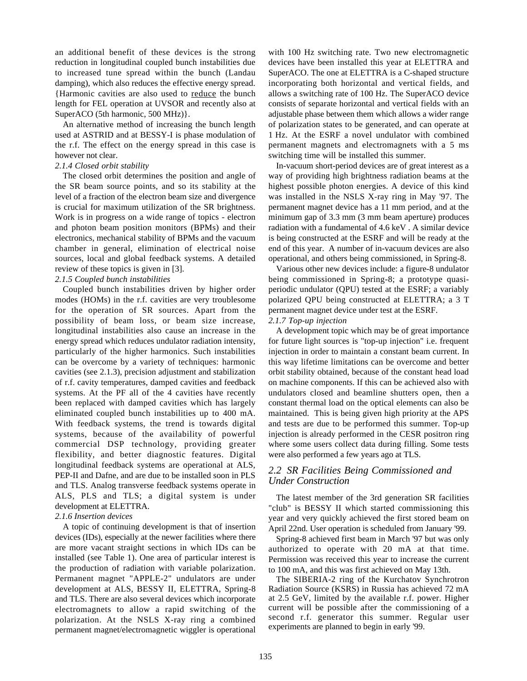an additional benefit of these devices is the strong reduction in longitudinal coupled bunch instabilities due to increased tune spread within the bunch (Landau damping), which also reduces the effective energy spread. {Harmonic cavities are also used to reduce the bunch length for FEL operation at UVSOR and recently also at SuperACO (5th harmonic, 500 MHz)}.

An alternative method of increasing the bunch length used at ASTRID and at BESSY-I is phase modulation of the r.f. The effect on the energy spread in this case is however not clear.

#### *2.1.4 Closed orbit stability*

The closed orbit determines the position and angle of the SR beam source points, and so its stability at the level of a fraction of the electron beam size and divergence is crucial for maximum utilization of the SR brightness. Work is in progress on a wide range of topics - electron and photon beam position monitors (BPMs) and their electronics, mechanical stability of BPMs and the vacuum chamber in general, elimination of electrical noise sources, local and global feedback systems. A detailed review of these topics is given in [3].

#### *2.1.5 Coupled bunch instabilities*

Coupled bunch instabilities driven by higher order modes (HOMs) in the r.f. cavities are very troublesome for the operation of SR sources. Apart from the possibility of beam loss, or beam size increase, longitudinal instabilities also cause an increase in the energy spread which reduces undulator radiation intensity, particularly of the higher harmonics. Such instabilities can be overcome by a variety of techniques: harmonic cavities (see 2.1.3), precision adjustment and stabilization of r.f. cavity temperatures, damped cavities and feedback systems. At the PF all of the 4 cavities have recently been replaced with damped cavities which has largely eliminated coupled bunch instabilities up to 400 mA. With feedback systems, the trend is towards digital systems, because of the availability of powerful commercial DSP technology, providing greater flexibility, and better diagnostic features. Digital longitudinal feedback systems are operational at ALS, PEP-II and Dafne, and are due to be installed soon in PLS and TLS. Analog transverse feedback systems operate in ALS, PLS and TLS; a digital system is under development at ELETTRA.

#### *2.1.6 Insertion devices*

A topic of continuing development is that of insertion devices (IDs), especially at the newer facilities where there are more vacant straight sections in which IDs can be installed (see Table 1). One area of particular interest is the production of radiation with variable polarization. Permanent magnet "APPLE-2" undulators are under development at ALS, BESSY II, ELETTRA, Spring-8 and TLS. There are also several devices which incorporate electromagnets to allow a rapid switching of the polarization. At the NSLS X-ray ring a combined permanent magnet/electromagnetic wiggler is operational

with 100 Hz switching rate. Two new electromagnetic devices have been installed this year at ELETTRA and SuperACO. The one at ELETTRA is a C-shaped structure incorporating both horizontal and vertical fields, and allows a switching rate of 100 Hz. The SuperACO device consists of separate horizontal and vertical fields with an adjustable phase between them which allows a wider range of polarization states to be generated, and can operate at 1 Hz. At the ESRF a novel undulator with combined permanent magnets and electromagnets with a 5 ms switching time will be installed this summer.

In-vacuum short-period devices are of great interest as a way of providing high brightness radiation beams at the highest possible photon energies. A device of this kind was installed in the NSLS X-ray ring in May '97. The permanent magnet device has a 11 mm period, and at the minimum gap of 3.3 mm (3 mm beam aperture) produces radiation with a fundamental of 4.6 keV . A similar device is being constructed at the ESRF and will be ready at the end of this year. A number of in-vacuum devices are also operational, and others being commissioned, in Spring-8.

Various other new devices include: a figure-8 undulator being commissioned in Spring-8; a prototype quasiperiodic undulator (QPU) tested at the ESRF; a variably polarized QPU being constructed at ELETTRA; a 3 T permanent magnet device under test at the ESRF.

### *2.1.7 Top-up injection*

A development topic which may be of great importance for future light sources is "top-up injection" i.e. frequent injection in order to maintain a constant beam current. In this way lifetime limitations can be overcome and better orbit stability obtained, because of the constant head load on machine components. If this can be achieved also with undulators closed and beamline shutters open, then a constant thermal load on the optical elements can also be maintained. This is being given high priority at the APS and tests are due to be performed this summer. Top-up injection is already performed in the CESR positron ring where some users collect data during filling. Some tests were also performed a few years ago at TLS.

# *2.2 SR Facilities Being Commissioned and Under Construction*

The latest member of the 3rd generation SR facilities "club" is BESSY II which started commissioning this year and very quickly achieved the first stored beam on April 22nd. User operation is scheduled from January '99.

Spring-8 achieved first beam in March '97 but was only authorized to operate with 20 mA at that time. Permission was received this year to increase the current to 100 mA, and this was first achieved on May 13th.

The SIBERIA-2 ring of the Kurchatov Synchrotron Radiation Source (KSRS) in Russia has achieved 72 mA at 2.5 GeV, limited by the available r.f. power. Higher current will be possible after the commissioning of a second r.f. generator this summer. Regular user experiments are planned to begin in early '99.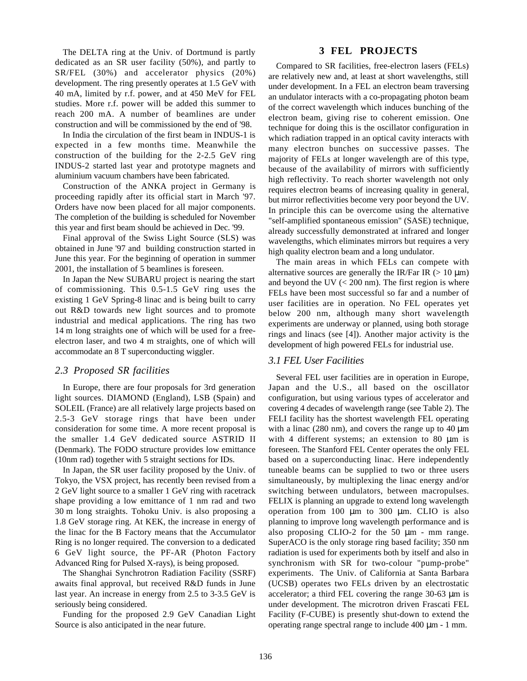The DELTA ring at the Univ. of Dortmund is partly dedicated as an SR user facility (50%), and partly to SR/FEL (30%) and accelerator physics (20%) development. The ring presently operates at 1.5 GeV with 40 mA, limited by r.f. power, and at 450 MeV for FEL studies. More r.f. power will be added this summer to reach 200 mA. A number of beamlines are under construction and will be commissioned by the end of '98.

In India the circulation of the first beam in INDUS-1 is expected in a few months time. Meanwhile the construction of the building for the 2-2.5 GeV ring INDUS-2 started last year and prototype magnets and aluminium vacuum chambers have been fabricated.

Construction of the ANKA project in Germany is proceeding rapidly after its official start in March '97. Orders have now been placed for all major components. The completion of the building is scheduled for November this year and first beam should be achieved in Dec. '99.

Final approval of the Swiss Light Source (SLS) was obtained in June '97 and building construction started in June this year. For the beginning of operation in summer 2001, the installation of 5 beamlines is foreseen.

In Japan the New SUBARU project is nearing the start of commissioning. This 0.5-1.5 GeV ring uses the existing 1 GeV Spring-8 linac and is being built to carry out R&D towards new light sources and to promote industrial and medical applications. The ring has two 14 m long straights one of which will be used for a freeelectron laser, and two 4 m straights, one of which will accommodate an 8 T superconducting wiggler.

## *2.3 Proposed SR facilities*

In Europe, there are four proposals for 3rd generation light sources. DIAMOND (England), LSB (Spain) and SOLEIL (France) are all relatively large projects based on 2.5-3 GeV storage rings that have been under consideration for some time. A more recent proposal is the smaller 1.4 GeV dedicated source ASTRID II (Denmark). The FODO structure provides low emittance (10nm rad) together with 5 straight sections for IDs.

In Japan, the SR user facility proposed by the Univ. of Tokyo, the VSX project, has recently been revised from a 2 GeV light source to a smaller 1 GeV ring with racetrack shape providing a low emittance of 1 nm rad and two 30 m long straights. Tohoku Univ. is also proposing a 1.8 GeV storage ring. At KEK, the increase in energy of the linac for the B Factory means that the Accumulator Ring is no longer required. The conversion to a dedicated 6 GeV light source, the PF-AR (Photon Factory Advanced Ring for Pulsed X-rays), is being proposed.

The Shanghai Synchrotron Radiation Facility (SSRF) awaits final approval, but received R&D funds in June last year. An increase in energy from 2.5 to 3-3.5 GeV is seriously being considered.

Funding for the proposed 2.9 GeV Canadian Light Source is also anticipated in the near future.

### **3 FEL PROJECTS**

Compared to SR facilities, free-electron lasers (FELs) are relatively new and, at least at short wavelengths, still under development. In a FEL an electron beam traversing an undulator interacts with a co-propagating photon beam of the correct wavelength which induces bunching of the electron beam, giving rise to coherent emission. One technique for doing this is the oscillator configuration in which radiation trapped in an optical cavity interacts with many electron bunches on successive passes. The majority of FELs at longer wavelength are of this type, because of the availability of mirrors with sufficiently high reflectivity. To reach shorter wavelength not only requires electron beams of increasing quality in general, but mirror reflectivities become very poor beyond the UV. In principle this can be overcome using the alternative "self-amplified spontaneous emission" (SASE) technique, already successfully demonstrated at infrared and longer wavelengths, which eliminates mirrors but requires a very high quality electron beam and a long undulator.

The main areas in which FELs can compete with alternative sources are generally the IR/Far IR  $(> 10 \mu m)$ and beyond the UV  $\left($  < 200 nm). The first region is where FELs have been most successful so far and a number of user facilities are in operation. No FEL operates yet below 200 nm, although many short wavelength experiments are underway or planned, using both storage rings and linacs (see [4]). Another major activity is the development of high powered FELs for industrial use.

## *3.1 FEL User Facilities*

Several FEL user facilities are in operation in Europe, Japan and the U.S., all based on the oscillator configuration, but using various types of accelerator and covering 4 decades of wavelength range (see Table 2). The FELI facility has the shortest wavelength FEL operating with a linac (280 nm), and covers the range up to  $40 \mu m$ with 4 different systems; an extension to 80  $\mu$ m is foreseen. The Stanford FEL Center operates the only FEL based on a superconducting linac. Here independently tuneable beams can be supplied to two or three users simultaneously, by multiplexing the linac energy and/or switching between undulators, between macropulses. FELIX is planning an upgrade to extend long wavelength operation from 100 µm to 300 µm. CLIO is also planning to improve long wavelength performance and is also proposing CLIO-2 for the 50 µm - mm range. SuperACO is the only storage ring based facility; 350 nm radiation is used for experiments both by itself and also in synchronism with SR for two-colour "pump-probe" experiments. The Univ. of California at Santa Barbara (UCSB) operates two FELs driven by an electrostatic accelerator; a third FEL covering the range 30-63 µm is under development. The microtron driven Frascati FEL Facility (F-CUBE) is presently shut-down to extend the operating range spectral range to include 400 µm - 1 mm.